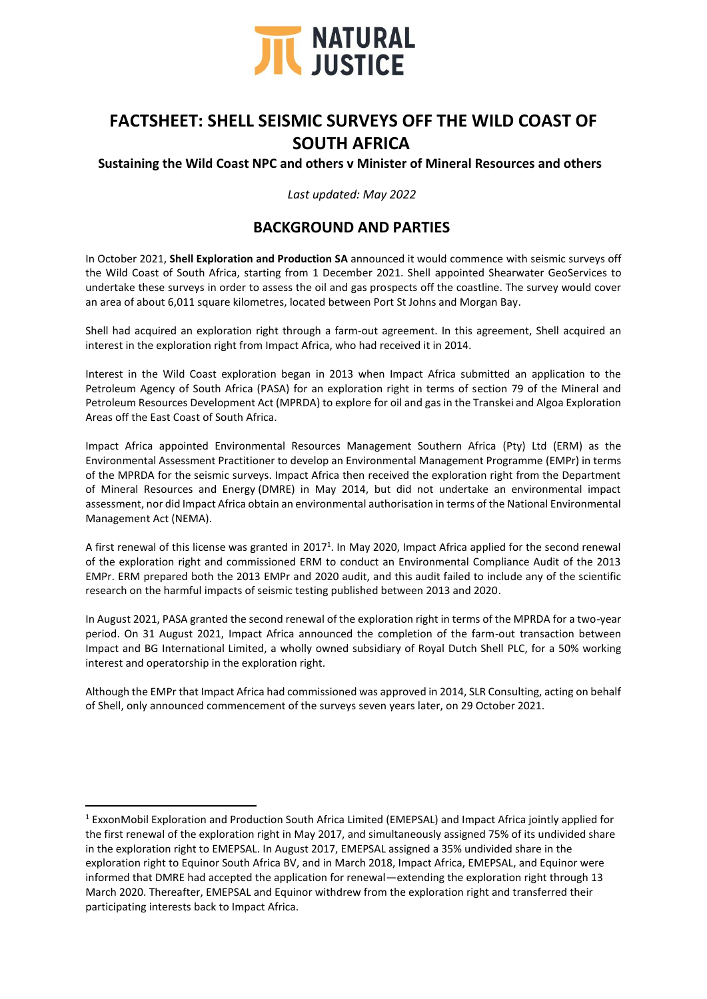

# **FACTSHEET: SHELL SEISMIC SURVEYS OFF THE WILD COAST OF SOUTH AFRICA**

### **Sustaining the Wild Coast NPC and others v Minister of Mineral Resources and others**

*Last updated: May 2022*

# **BACKGROUND AND PARTIES**

In October 2021, **Shell Exploration and Production SA** announced it would commence with seismic surveys off the Wild Coast of South Africa, starting from 1 December 2021. Shell appointed Shearwater GeoServices to undertake these surveys in order to assess the oil and gas prospects off the coastline. The survey would cover an area of about 6,011 square kilometres, located between Port St Johns and Morgan Bay.

Shell had acquired an exploration right through a farm-out agreement. In this agreement, Shell acquired an interest in the exploration right from Impact Africa, who had received it in 2014.

Interest in the Wild Coast exploration began in 2013 when Impact Africa submitted an application to the Petroleum Agency of South Africa (PASA) for an exploration right in terms of section 79 of the Mineral and Petroleum Resources Development Act (MPRDA) to explore for oil and gas in the Transkei and Algoa Exploration Areas off the East Coast of South Africa.

Impact Africa appointed Environmental Resources Management Southern Africa (Pty) Ltd (ERM) as the Environmental Assessment Practitioner to develop an Environmental Management Programme (EMPr) in terms of the MPRDA for the seismic surveys. Impact Africa then received the exploration right from the Department of Mineral Resources and Energy (DMRE) in May 2014, but did not undertake an environmental impact assessment, nor did Impact Africa obtain an environmental authorisation in terms of the National Environmental Management Act (NEMA).

A first renewal of this license was granted in 2017<sup>1</sup>. In May 2020, Impact Africa applied for the second renewal of the exploration right and commissioned ERM to conduct an Environmental Compliance Audit of the 2013 EMPr. ERM prepared both the 2013 EMPr and 2020 audit, and this audit failed to include any of the scientific research on the harmful impacts of seismic testing published between 2013 and 2020.

In August 2021, PASA granted the second renewal of the exploration right in terms of the MPRDA for a two-year period. On 31 August 2021, Impact Africa announced the completion of the farm-out transaction between Impact and BG International Limited, a wholly owned subsidiary of Royal Dutch Shell PLC, for a 50% working interest and operatorship in the exploration right.

Although the EMPr that Impact Africa had commissioned was approved in 2014, SLR Consulting, acting on behalf of Shell, only announced commencement of the surveys seven years later, on 29 October 2021.

<sup>1</sup> ExxonMobil Exploration and Production South Africa Limited (EMEPSAL) and Impact Africa jointly applied for the first renewal of the exploration right in May 2017, and simultaneously assigned 75% of its undivided share in the exploration right to EMEPSAL. In August 2017, EMEPSAL assigned a 35% undivided share in the exploration right to Equinor South Africa BV, and in March 2018, Impact Africa, EMEPSAL, and Equinor were informed that DMRE had accepted the application for renewal—extending the exploration right through 13 March 2020. Thereafter, EMEPSAL and Equinor withdrew from the exploration right and transferred their participating interests back to Impact Africa.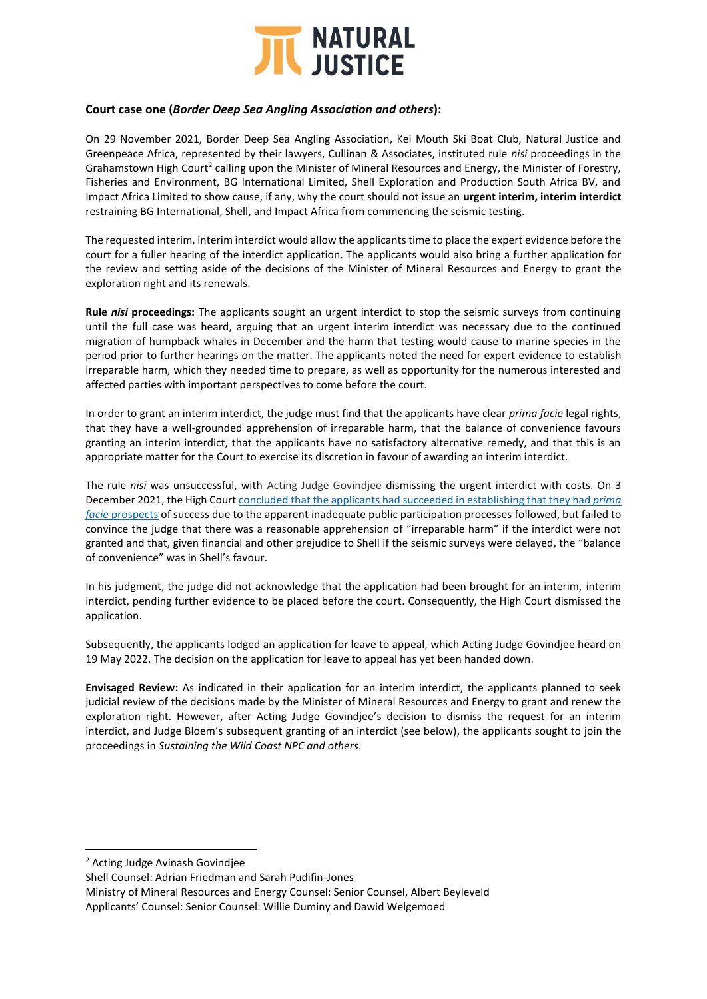

### **Court case one (***Border Deep Sea Angling Association and others***):**

On 29 November 2021, Border Deep Sea Angling Association, Kei Mouth Ski Boat Club, Natural Justice and Greenpeace Africa, represented by their lawyers, Cullinan & Associates, instituted rule *nisi* proceedings in the Grahamstown High Court<sup>2</sup> calling upon the Minister of Mineral Resources and Energy, the Minister of Forestry, Fisheries and Environment, BG International Limited, Shell Exploration and Production South Africa BV, and Impact Africa Limited to show cause, if any, why the court should not issue an **urgent interim, interim interdict** restraining BG International, Shell, and Impact Africa from commencing the seismic testing.

The requested interim, interim interdict would allow the applicants time to place the expert evidence before the court for a fuller hearing of the interdict application. The applicants would also bring a further application for the review and setting aside of the decisions of the Minister of Mineral Resources and Energy to grant the exploration right and its renewals.

**Rule** *nisi* **proceedings:** The applicants sought an urgent interdict to stop the seismic surveys from continuing until the full case was heard, arguing that an urgent interim interdict was necessary due to the continued migration of humpback whales in December and the harm that testing would cause to marine species in the period prior to further hearings on the matter. The applicants noted the need for expert evidence to establish irreparable harm, which they needed time to prepare, as well as opportunity for the numerous interested and affected parties with important perspectives to come before the court.

In order to grant an interim interdict, the judge must find that the applicants have clear *prima facie* legal rights, that they have a well-grounded apprehension of irreparable harm, that the balance of convenience favours granting an interim interdict, that the applicants have no satisfactory alternative remedy, and that this is an appropriate matter for the Court to exercise its discretion in favour of awarding an interim interdict.

The rule *nisi* was unsuccessful, with Acting Judge Govindjee dismissing the urgent interdict with costs. On 3 December 2021, the High Court [concluded that the applicants had succeeded in](https://naturaljustice.org/massive-blow-for-the-wild-coast-urgent-interdict-denied/) establishing that they had *prima facie* [prospects](https://naturaljustice.org/massive-blow-for-the-wild-coast-urgent-interdict-denied/) of success due to the apparent inadequate public participation processes followed, but failed to convince the judge that there was a reasonable apprehension of "irreparable harm" if the interdict were not granted and that, given financial and other prejudice to Shell if the seismic surveys were delayed, the "balance of convenience" was in Shell's favour.

In his judgment, the judge did not acknowledge that the application had been brought for an interim, interim interdict, pending further evidence to be placed before the court. Consequently, the High Court dismissed the application.

Subsequently, the applicants lodged an application for leave to appeal, which Acting Judge Govindjee heard on 19 May 2022. The decision on the application for leave to appeal has yet been handed down.

**Envisaged Review:** As indicated in their application for an interim interdict, the applicants planned to seek judicial review of the decisions made by the Minister of Mineral Resources and Energy to grant and renew the exploration right. However, after Acting Judge Govindjee's decision to dismiss the request for an interim interdict, and Judge Bloem's subsequent granting of an interdict (see below), the applicants sought to join the proceedings in *Sustaining the Wild Coast NPC and others*.

<sup>2</sup> Acting Judge Avinash Govindjee

Shell Counsel: Adrian Friedman and Sarah Pudifin-Jones

Ministry of Mineral Resources and Energy Counsel: Senior Counsel, Albert Beyleveld Applicants' Counsel: Senior Counsel: Willie Duminy and Dawid Welgemoed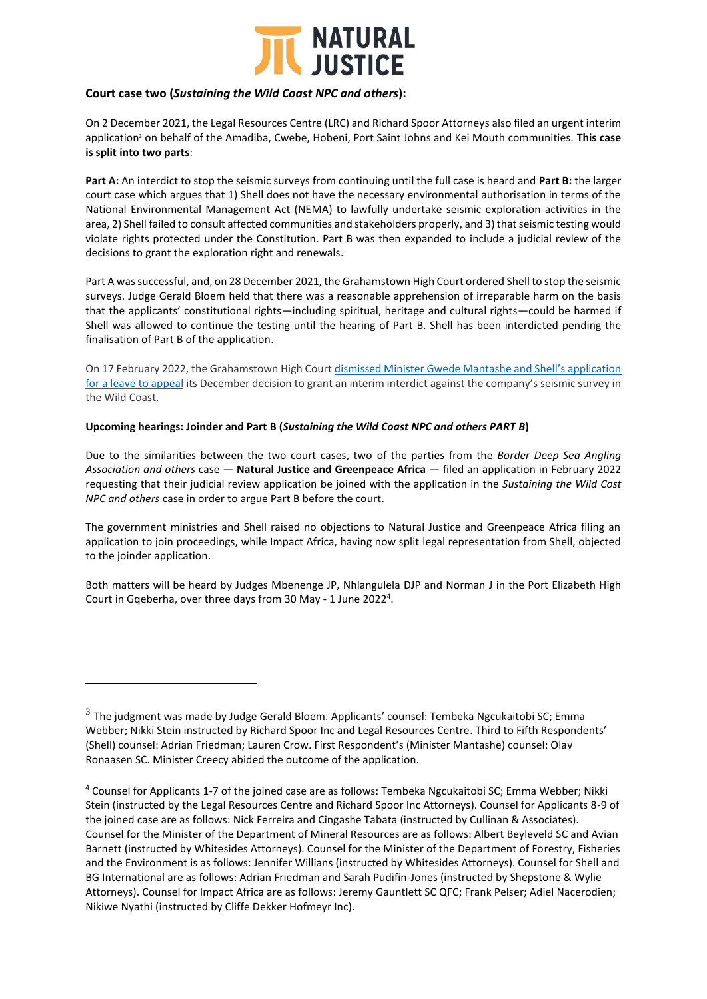

#### **Court case two (***Sustaining the Wild Coast NPC and others***):**

On 2 December 2021, the Legal Resources Centre (LRC) and Richard Spoor Attorneys also filed an urgent interim application<sup>3</sup> on behalf of the Amadiba, Cwebe, Hobeni, Port Saint Johns and Kei Mouth communities. **This case is split into two parts**:

**Part A:** An interdict to stop the seismic surveys from continuing until the full case is heard and **Part B:** the larger court case which argues that 1) Shell does not have the necessary environmental authorisation in terms of the National Environmental Management Act (NEMA) to lawfully undertake seismic exploration activities in the area, 2) Shell failed to consult affected communities and stakeholders properly, and 3) that seismic testing would violate rights protected under the Constitution. Part B was then expanded to include a judicial review of the decisions to grant the exploration right and renewals.

Part A was successful, and, on 28 December 2021, the Grahamstown High Court ordered Shell to stop the seismic surveys. Judge Gerald Bloem held that there was a reasonable apprehension of irreparable harm on the basis that the applicants' constitutional rights—including spiritual, heritage and cultural rights—could be harmed if Shell was allowed to continue the testing until the hearing of Part B. Shell has been interdicted pending the finalisation of Part B of the application.

On 17 February 2022, the Grahamstown High Court [dismissed Minister Gwede Mantashe and Shell's application](https://www.dailymaverick.co.za/article/2022-02-17-high-court-dismisses-shells-bid-to-appeal-interdict-against-west-coast-seismic-blasting/)  [for a leave to appeal](https://www.dailymaverick.co.za/article/2022-02-17-high-court-dismisses-shells-bid-to-appeal-interdict-against-west-coast-seismic-blasting/) its December decision to grant an interim interdict against the company's seismic survey in the Wild Coast.

#### **Upcoming hearings: Joinder and Part B (***Sustaining the Wild Coast NPC and others PART B***)**

Due to the similarities between the two court cases, two of the parties from the *Border Deep Sea Angling Association and others* case — **Natural Justice and Greenpeace Africa** — filed an application in February 2022 requesting that their judicial review application be joined with the application in the *Sustaining the Wild Cost NPC and others* case in order to argue Part B before the court.

The government ministries and Shell raised no objections to Natural Justice and Greenpeace Africa filing an application to join proceedings, while Impact Africa, having now split legal representation from Shell, objected to the joinder application.

Both matters will be heard by Judges Mbenenge JP, Nhlangulela DJP and Norman J in the Port Elizabeth High Court in Gqeberha, over three days from 30 May - 1 June 2022 4 .

 $^3$  The judgment was made by Judge Gerald Bloem. Applicants' counsel: Tembeka Ngcukaitobi SC; Emma Webber; Nikki Stein instructed by Richard Spoor Inc and Legal Resources Centre. Third to Fifth Respondents' (Shell) counsel: Adrian Friedman; Lauren Crow. First Respondent's (Minister Mantashe) counsel: Olav Ronaasen SC. Minister Creecy abided the outcome of the application.

<sup>4</sup> Counsel for Applicants 1-7 of the joined case are as follows: Tembeka Ngcukaitobi SC; Emma Webber; Nikki Stein (instructed by the Legal Resources Centre and Richard Spoor Inc Attorneys). Counsel for Applicants 8-9 of the joined case are as follows: Nick Ferreira and Cingashe Tabata (instructed by Cullinan & Associates). Counsel for the Minister of the Department of Mineral Resources are as follows: Albert Beyleveld SC and Avian Barnett (instructed by Whitesides Attorneys). Counsel for the Minister of the Department of Forestry, Fisheries and the Environment is as follows: Jennifer Willians (instructed by Whitesides Attorneys). Counsel for Shell and BG International are as follows: Adrian Friedman and Sarah Pudifin-Jones (instructed by Shepstone & Wylie Attorneys). Counsel for Impact Africa are as follows: Jeremy Gauntlett SC QFC; Frank Pelser; Adiel Nacerodien; Nikiwe Nyathi (instructed by Cliffe Dekker Hofmeyr Inc).